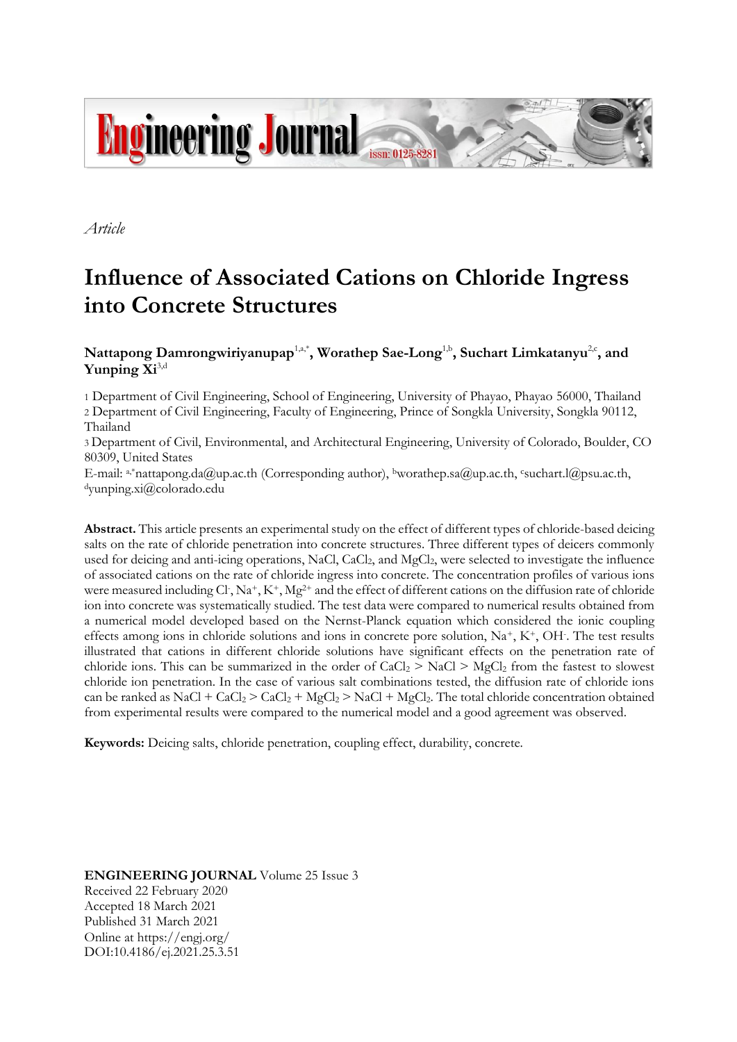

*Article*

# **Influence of Associated Cations on Chloride Ingress into Concrete Structures**

## $N$ attapong Damrongwiriyanupap<sup>1,a,\*</sup>, Worathep Sae-Long<sup>1,b</sup>, Suchart Limkatanyu<sup>2,c</sup>, and **Yunping Xi**3,d

1 Department of Civil Engineering, School of Engineering, University of Phayao, Phayao 56000, Thailand 2 Department of Civil Engineering, Faculty of Engineering, Prince of Songkla University, Songkla 90112, Thailand

3 Department of Civil, Environmental, and Architectural Engineering, University of Colorado, Boulder, CO 80309, United States

E-mail: a,\*nattapong.da@up.ac.th (Corresponding author), bworathep.sa@up.ac.th, csuchart.l@psu.ac.th, <sup>d</sup>yunping.xi@colorado.edu

**Abstract.** This article presents an experimental study on the effect of different types of chloride-based deicing salts on the rate of chloride penetration into concrete structures. Three different types of deicers commonly used for deicing and anti-icing operations, NaCl, CaCl<sub>2</sub>, and MgCl<sub>2</sub>, were selected to investigate the influence of associated cations on the rate of chloride ingress into concrete. The concentration profiles of various ions were measured including Cl, Na<sup>+</sup>, K<sup>+</sup>, Mg<sup>2+</sup> and the effect of different cations on the diffusion rate of chloride ion into concrete was systematically studied. The test data were compared to numerical results obtained from a numerical model developed based on the Nernst-Planck equation which considered the ionic coupling effects among ions in chloride solutions and ions in concrete pore solution, Na<sup>+</sup>, K<sup>+</sup>, OH. The test results illustrated that cations in different chloride solutions have significant effects on the penetration rate of chloride ions. This can be summarized in the order of  $CaCl<sub>2</sub> > NaCl > MgCl<sub>2</sub>$  from the fastest to slowest chloride ion penetration. In the case of various salt combinations tested, the diffusion rate of chloride ions can be ranked as NaCl + CaCl<sub>2</sub> > CaCl<sub>2</sub> + MgCl<sub>2</sub> > NaCl + MgCl<sub>2</sub>. The total chloride concentration obtained from experimental results were compared to the numerical model and a good agreement was observed.

**Keywords:** Deicing salts, chloride penetration, coupling effect, durability, concrete.

**ENGINEERING JOURNAL** Volume 25 Issue 3 Received 22 February 2020 Accepted 18 March 2021 Published 31 March 2021 Online at https://engj.org/ DOI:10.4186/ej.2021.25.3.51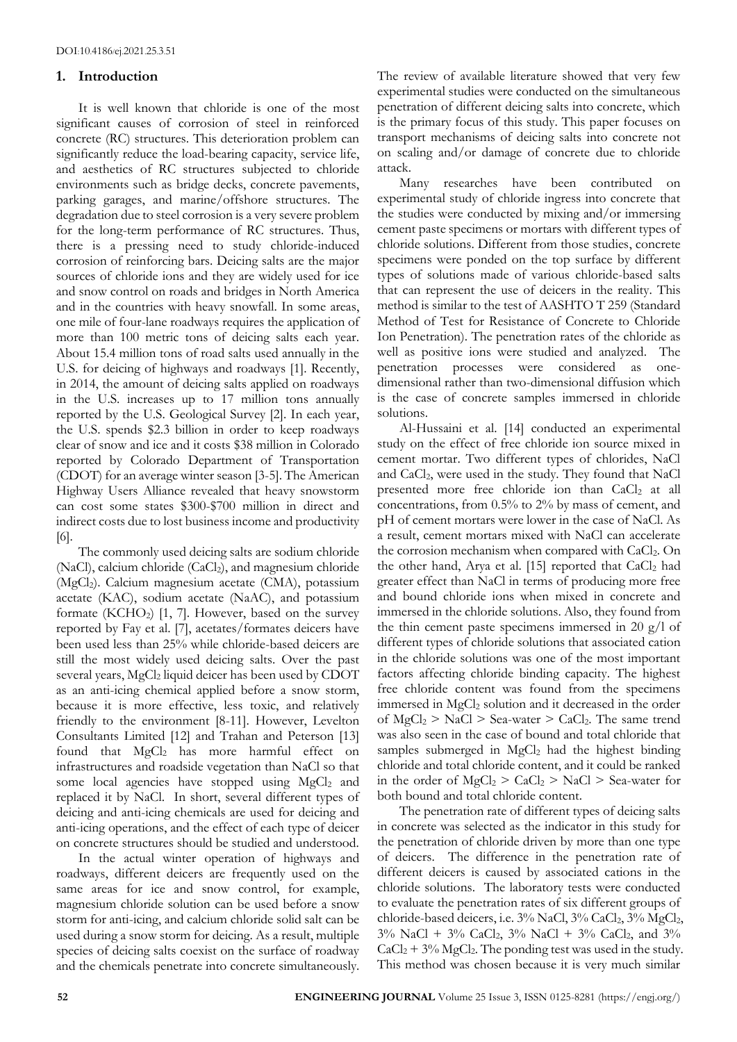## **1. Introduction**

It is well known that chloride is one of the most significant causes of corrosion of steel in reinforced concrete (RC) structures. This deterioration problem can significantly reduce the load-bearing capacity, service life, and aesthetics of RC structures subjected to chloride environments such as bridge decks, concrete pavements, parking garages, and marine/offshore structures. The degradation due to steel corrosion is a very severe problem for the long-term performance of RC structures. Thus, there is a pressing need to study chloride-induced corrosion of reinforcing bars. Deicing salts are the major sources of chloride ions and they are widely used for ice and snow control on roads and bridges in North America and in the countries with heavy snowfall. In some areas, one mile of four-lane roadways requires the application of more than 100 metric tons of deicing salts each year. About 15.4 million tons of road salts used annually in the U.S. for deicing of highways and roadways [1]. Recently, in 2014, the amount of deicing salts applied on roadways in the U.S. increases up to 17 million tons annually reported by the U.S. Geological Survey [2]. In each year, the U.S. spends \$2.3 billion in order to keep roadways clear of snow and ice and it costs \$38 million in Colorado reported by Colorado Department of Transportation (CDOT) for an average winter season [3-5]. The American Highway Users Alliance revealed that heavy snowstorm can cost some states \$300-\$700 million in direct and indirect costs due to lost business income and productivity [6].

The commonly used deicing salts are sodium chloride (NaCl), calcium chloride (CaCl<sub>2</sub>), and magnesium chloride (MgCl2). Calcium magnesium acetate (CMA), potassium acetate (KAC), sodium acetate (NaAC), and potassium formate (KCHO<sub>2</sub>) [1, 7]. However, based on the survey reported by Fay et al. [7], acetates/formates deicers have been used less than 25% while chloride-based deicers are still the most widely used deicing salts. Over the past several years, MgCl<sub>2</sub> liquid deicer has been used by CDOT as an anti-icing chemical applied before a snow storm, because it is more effective, less toxic, and relatively friendly to the environment [8-11]. However, Levelton Consultants Limited [12] and Trahan and Peterson [13] found that MgCl<sub>2</sub> has more harmful effect on infrastructures and roadside vegetation than NaCl so that some local agencies have stopped using MgCl<sub>2</sub> and replaced it by NaCl. In short, several different types of deicing and anti-icing chemicals are used for deicing and anti-icing operations, and the effect of each type of deicer on concrete structures should be studied and understood.

In the actual winter operation of highways and roadways, different deicers are frequently used on the same areas for ice and snow control, for example, magnesium chloride solution can be used before a snow storm for anti-icing, and calcium chloride solid salt can be used during a snow storm for deicing. As a result, multiple species of deicing salts coexist on the surface of roadway and the chemicals penetrate into concrete simultaneously. The review of available literature showed that very few experimental studies were conducted on the simultaneous penetration of different deicing salts into concrete, which is the primary focus of this study. This paper focuses on transport mechanisms of deicing salts into concrete not on scaling and/or damage of concrete due to chloride attack.

Many researches have been contributed on experimental study of chloride ingress into concrete that the studies were conducted by mixing and/or immersing cement paste specimens or mortars with different types of chloride solutions. Different from those studies, concrete specimens were ponded on the top surface by different types of solutions made of various chloride-based salts that can represent the use of deicers in the reality. This method is similar to the test of AASHTO T 259 (Standard Method of Test for Resistance of Concrete to Chloride Ion Penetration). The penetration rates of the chloride as well as positive ions were studied and analyzed. The penetration processes were considered as onedimensional rather than two-dimensional diffusion which is the case of concrete samples immersed in chloride solutions.

Al-Hussaini et al. [14] conducted an experimental study on the effect of free chloride ion source mixed in cement mortar. Two different types of chlorides, NaCl and CaCl2, were used in the study. They found that NaCl presented more free chloride ion than CaCl<sub>2</sub> at all concentrations, from 0.5% to 2% by mass of cement, and pH of cement mortars were lower in the case of NaCl. As a result, cement mortars mixed with NaCl can accelerate the corrosion mechanism when compared with CaCl<sub>2</sub>. On the other hand, Arya et al. [15] reported that  $CaCl<sub>2</sub>$  had greater effect than NaCl in terms of producing more free and bound chloride ions when mixed in concrete and immersed in the chloride solutions. Also, they found from the thin cement paste specimens immersed in 20 g/l of different types of chloride solutions that associated cation in the chloride solutions was one of the most important factors affecting chloride binding capacity. The highest free chloride content was found from the specimens immersed in MgCl<sub>2</sub> solution and it decreased in the order of  $MgCl_2 > NaCl > Sea-water > CaCl_2$ . The same trend was also seen in the case of bound and total chloride that samples submerged in MgCl<sub>2</sub> had the highest binding chloride and total chloride content, and it could be ranked in the order of  $MgCl_2 > CaCl_2 > NaCl > Sea$ -water for both bound and total chloride content.

The penetration rate of different types of deicing salts in concrete was selected as the indicator in this study for the penetration of chloride driven by more than one type of deicers. The difference in the penetration rate of different deicers is caused by associated cations in the chloride solutions. The laboratory tests were conducted to evaluate the penetration rates of six different groups of chloride-based deicers, i.e. 3% NaCl, 3% CaCl<sub>2</sub>, 3% MgCl<sub>2</sub>,  $3\%$  NaCl +  $3\%$  CaCl<sub>2</sub>,  $3\%$  NaCl +  $3\%$  CaCl<sub>2</sub>, and  $3\%$  $CaCl<sub>2</sub> + 3% MgCl<sub>2</sub>$ . The ponding test was used in the study. This method was chosen because it is very much similar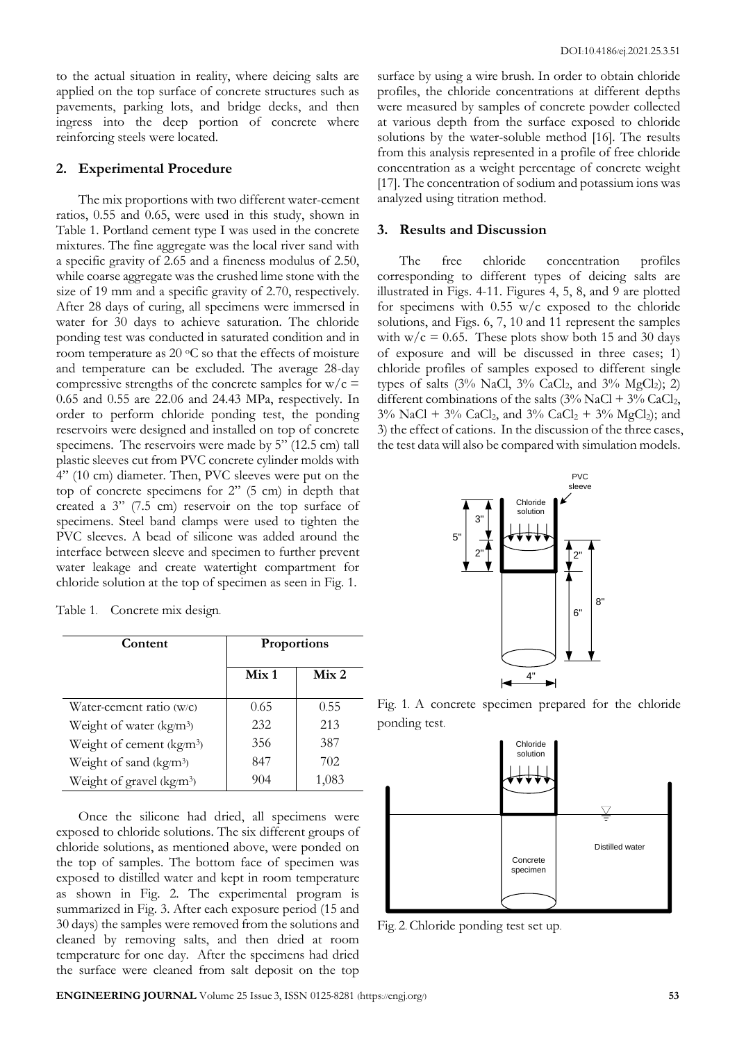to the actual situation in reality, where deicing salts are applied on the top surface of concrete structures such as pavements, parking lots, and bridge decks, and then ingress into the deep portion of concrete where reinforcing steels were located.

#### **2. Experimental Procedure**

The mix proportions with two different water-cement ratios, 0.55 and 0.65, were used in this study, shown in Table 1. Portland cement type I was used in the concrete mixtures. The fine aggregate was the local river sand with a specific gravity of 2.65 and a fineness modulus of 2.50, while coarse aggregate was the crushed lime stone with the size of 19 mm and a specific gravity of 2.70, respectively. After 28 days of curing, all specimens were immersed in water for 30 days to achieve saturation. The chloride ponding test was conducted in saturated condition and in room temperature as  $20 °C$  so that the effects of moisture and temperature can be excluded. The average 28-day compressive strengths of the concrete samples for  $w/c =$ 0.65 and 0.55 are 22.06 and 24.43 MPa, respectively. In order to perform chloride ponding test, the ponding reservoirs were designed and installed on top of concrete specimens. The reservoirs were made by 5" (12.5 cm) tall plastic sleeves cut from PVC concrete cylinder molds with 4" (10 cm) diameter. Then, PVC sleeves were put on the top of concrete specimens for 2" (5 cm) in depth that created a 3" (7.5 cm) reservoir on the top surface of specimens. Steel band clamps were used to tighten the PVC sleeves. A bead of silicone was added around the interface between sleeve and specimen to further prevent water leakage and create watertight compartment for chloride solution at the top of specimen as seen in Fig. 1.

| Table 1. | Concrete mix design. |  |
|----------|----------------------|--|
|          |                      |  |

| Content                               | Proportions      |                  |
|---------------------------------------|------------------|------------------|
|                                       | Mix <sub>1</sub> | Mix <sub>2</sub> |
| Water-cement ratio (w/c)              | 0.65             | 0.55             |
| Weight of water (kg/m <sup>3</sup> )  | 232              | 213              |
| Weight of cement (kg/m <sup>3</sup> ) | 356              | 387              |
| Weight of sand (kg/m <sup>3</sup> )   | 847              | 702              |
| Weight of gravel (kg/m <sup>3</sup> ) | 904              |                  |

Once the silicone had dried, all specimens were exposed to chloride solutions. The six different groups of chloride solutions, as mentioned above, were ponded on the top of samples. The bottom face of specimen was exposed to distilled water and kept in room temperature as shown in Fig. 2. The experimental program is summarized in Fig. 3. After each exposure period (15 and 30 days) the samples were removed from the solutions and cleaned by removing salts, and then dried at room temperature for one day. After the specimens had dried the surface were cleaned from salt deposit on the top

surface by using a wire brush. In order to obtain chloride profiles, the chloride concentrations at different depths were measured by samples of concrete powder collected at various depth from the surface exposed to chloride solutions by the water-soluble method [16]. The results from this analysis represented in a profile of free chloride concentration as a weight percentage of concrete weight [17]. The concentration of sodium and potassium ions was analyzed using titration method.

#### **3. Results and Discussion**

The free chloride concentration profiles corresponding to different types of deicing salts are illustrated in Figs. 4-11. Figures 4, 5, 8, and 9 are plotted for specimens with  $0.55$  w/c exposed to the chloride solutions, and Figs. 6, 7, 10 and 11 represent the samples with  $w/c = 0.65$ . These plots show both 15 and 30 days of exposure and will be discussed in three cases; 1) chloride profiles of samples exposed to different single types of salts  $(3\% \text{ NaCl}, 3\% \text{ CaCl}_2, \text{ and } 3\% \text{ MgCl}_2); 2)$ different combinations of the salts  $(3\%$  NaCl +  $3\%$  CaCl<sub>2</sub>,  $3\%$  NaCl +  $3\%$  CaCl<sub>2</sub>, and  $3\%$  CaCl<sub>2</sub> +  $3\%$  MgCl<sub>2</sub>); and 3) the effect of cations. In the discussion of the three cases, the test data will also be compared with simulation models.



Fig. 1. A concrete specimen prepared for the chloride ponding test.



Fig. 2. Chloride ponding test set up.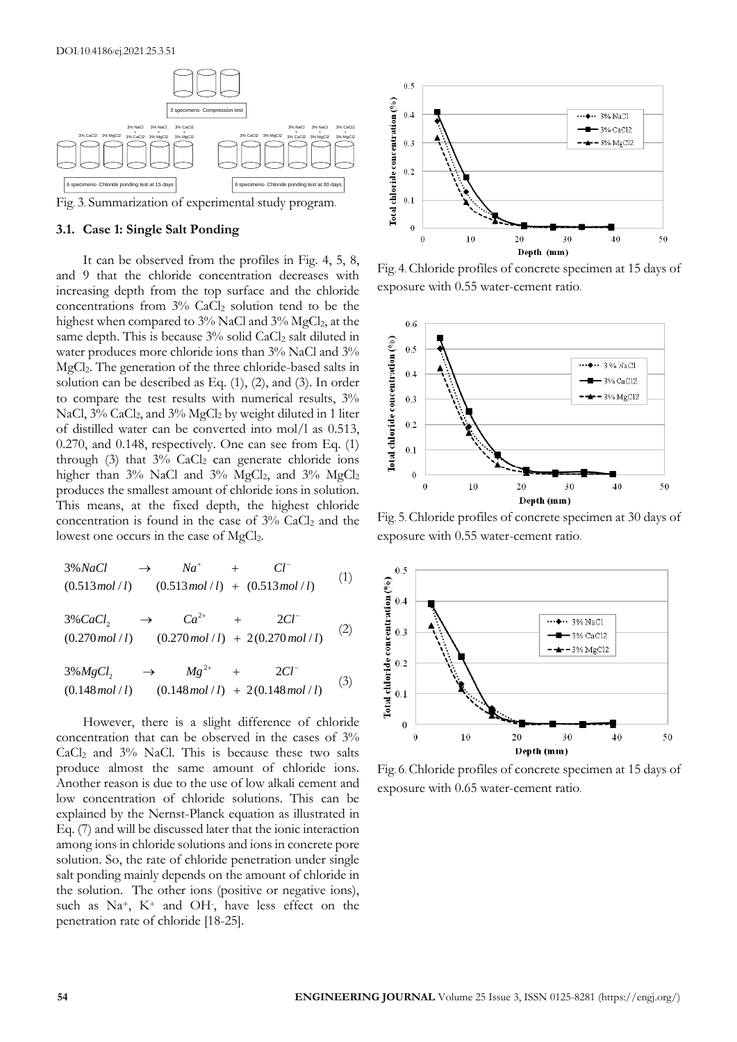

#### **3.1. Case 1: Single Salt Ponding**

It can be observed from the profiles in Fig. 4, 5, 8, and 9 that the chloride concentration decreases with increasing depth from the top surface and the chloride concentrations from 3% CaCl<sup>2</sup> solution tend to be the highest when compared to  $3\%$  NaCl and  $3\%$  MgCl<sub>2</sub>, at the same depth. This is because 3% solid CaCl<sub>2</sub> salt diluted in water produces more chloride ions than 3% NaCl and 3% MgCl2. The generation of the three chloride-based salts in solution can be described as Eq. (1), (2), and (3). In order to compare the test results with numerical results, 3% NaCl, 3% CaCl<sub>2</sub>, and 3% MgCl<sub>2</sub> by weight diluted in 1 liter of distilled water can be converted into mol/l as 0.513, 0.270, and 0.148, respectively. One can see from Eq. (1) through  $(3)$  that  $3\%$  CaCl<sub>2</sub> can generate chloride ions higher than 3% NaCl and 3% MgCl<sub>2</sub>, and 3% MgCl<sub>2</sub> produces the smallest amount of chloride ions in solution. This means, at the fixed depth, the highest chloride concentration is found in the case of  $3\%$  CaCl<sub>2</sub> and the lowest one occurs in the case of  $MgCl<sub>2</sub>$ .

3% (0.513 / ) (0.513 / ) (0.513 / ) *NaCl Na Cl mol l mol l mol l* (1) 2 <sup>2</sup> 3% 2 (0.270 / ) (0.270 / ) 2(0.270 / ) *CaCl Ca Cl mol l mol l mol l* (2)

$$
(0.270 mol/t) + 2(0.270 mol/t)
$$
  
\n
$$
3\%MgCl_2 \rightarrow Mg^{2+} + 2Cl^{-}
$$
  
\n
$$
(0.148 mol/t) + 2(0.148 mol/t)
$$
 (3)

However, there is a slight difference of chloride concentration that can be observed in the cases of 3%  $CaCl<sub>2</sub>$  and  $3\%$  NaCl. This is because these two salts produce almost the same amount of chloride ions. Another reason is due to the use of low alkali cement and low concentration of chloride solutions. This can be explained by the Nernst-Planck equation as illustrated in Eq. (7) and will be discussed later that the ionic interaction among ions in chloride solutions and ions in concrete pore solution. So, the rate of chloride penetration under single salt ponding mainly depends on the amount of chloride in the solution. The other ions (positive or negative ions), such as Na+, K<sup>+</sup> and OH- , have less effect on the penetration rate of chloride [18-25].



Fig. 4. Chloride profiles of concrete specimen at 15 days of exposure with 0.55 water-cement ratio.



Fig. 5. Chloride profiles of concrete specimen at 30 days of exposure with 0.55 water-cement ratio.



Fig. 6. Chloride profiles of concrete specimen at 15 days of exposure with 0.65 water-cement ratio.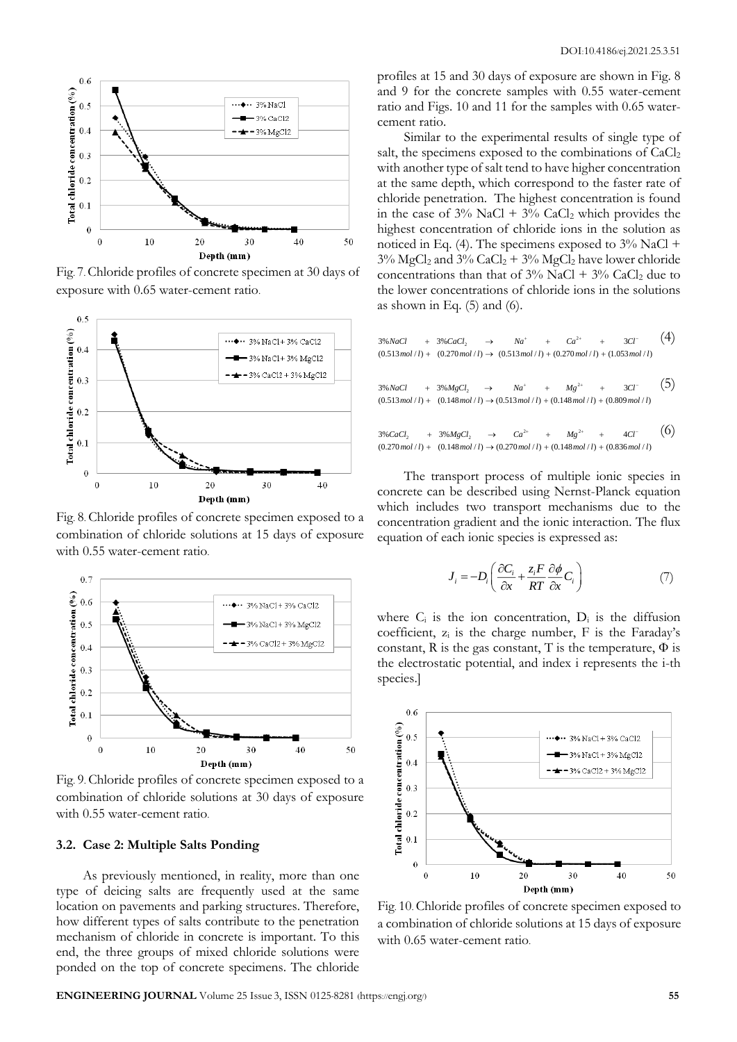

Fig. 7. Chloride profiles of concrete specimen at 30 days of exposure with 0.65 water-cement ratio.



Fig. 8. Chloride profiles of concrete specimen exposed to a combination of chloride solutions at 15 days of exposure with 0.55 water-cement ratio.



Fig. 9. Chloride profiles of concrete specimen exposed to a combination of chloride solutions at 30 days of exposure with 0.55 water-cement ratio.

## **3.2. Case 2: Multiple Salts Ponding**

As previously mentioned, in reality, more than one type of deicing salts are frequently used at the same location on pavements and parking structures. Therefore, how different types of salts contribute to the penetration mechanism of chloride in concrete is important. To this end, the three groups of mixed chloride solutions were ponded on the top of concrete specimens. The chloride profiles at 15 and 30 days of exposure are shown in Fig. 8 and 9 for the concrete samples with 0.55 water-cement ratio and Figs. 10 and 11 for the samples with 0.65 watercement ratio.

Similar to the experimental results of single type of salt, the specimens exposed to the combinations of  $CaCl<sub>2</sub>$ with another type of salt tend to have higher concentration at the same depth, which correspond to the faster rate of chloride penetration. The highest concentration is found in the case of  $3\%$  NaCl +  $3\%$  CaCl<sub>2</sub> which provides the highest concentration of chloride ions in the solution as noticed in Eq. (4). The specimens exposed to  $3\%$  NaCl +  $3\%$  MgCl<sub>2</sub> and  $3\%$  CaCl<sub>2</sub> +  $3\%$  MgCl<sub>2</sub> have lower chloride concentrations than that of  $3\%$  NaCl +  $3\%$  CaCl<sub>2</sub> due to the lower concentrations of chloride ions in the solutions as shown in Eq.  $(5)$  and  $(6)$ .

$$
3\%NaCl + 3\%CaCl_2 \rightarrow Na^+ + Ca^{2+} + 3Cl^-
$$
\n
$$
(0.513mol/l) + (0.270mol/l) \rightarrow (0.513mol/l) + (0.270mol/l) + (1.053mol/l)
$$

 $Mg^2$  $3\% NaCl$  +  $3\% MgCl_2$   $\rightarrow$   $Na^+$  +  $Mg^{2+}$  +  $3Cl^ (0.513 \text{ mol}/l) + (0.148 \text{ mol}/l) \rightarrow (0.513 \text{ mol}/l) + (0.148 \text{ mol}/l) + (0.809 \text{ mol}/l)$ (5)

 $2+$   $14$  $2\%$  CaCl<sub>2</sub> +  $3\%$ MgCl<sub>2</sub>  $\rightarrow$  Ca<sup>2+</sup> + Mg<sup>2+</sup> + 4Cl<sup>-</sup>  $(0.270 \text{ mol}/l) + (0.148 \text{ mol}/l) \rightarrow (0.270 \text{ mol}/l) + (0.148 \text{ mol}/l) + (0.836 \text{ mol}/l)$ (6)

The transport process of multiple ionic species in concrete can be described using Nernst-Planck equation which includes two transport mechanisms due to the concentration gradient and the ionic interaction. The flux equation of each ionic species is expressed as:

$$
J_i = -D_i \left( \frac{\partial C_i}{\partial x} + \frac{z_i F}{RT} \frac{\partial \phi}{\partial x} C_i \right) \tag{7}
$$

where  $C_i$  is the ion concentration,  $D_i$  is the diffusion coefficient,  $z_i$  is the charge number,  $F$  is the Faraday's constant, R is the gas constant, T is the temperature,  $\Phi$  is the electrostatic potential, and index i represents the i-th species.]



Fig. 10. Chloride profiles of concrete specimen exposed to a combination of chloride solutions at 15 days of exposure with 0.65 water-cement ratio.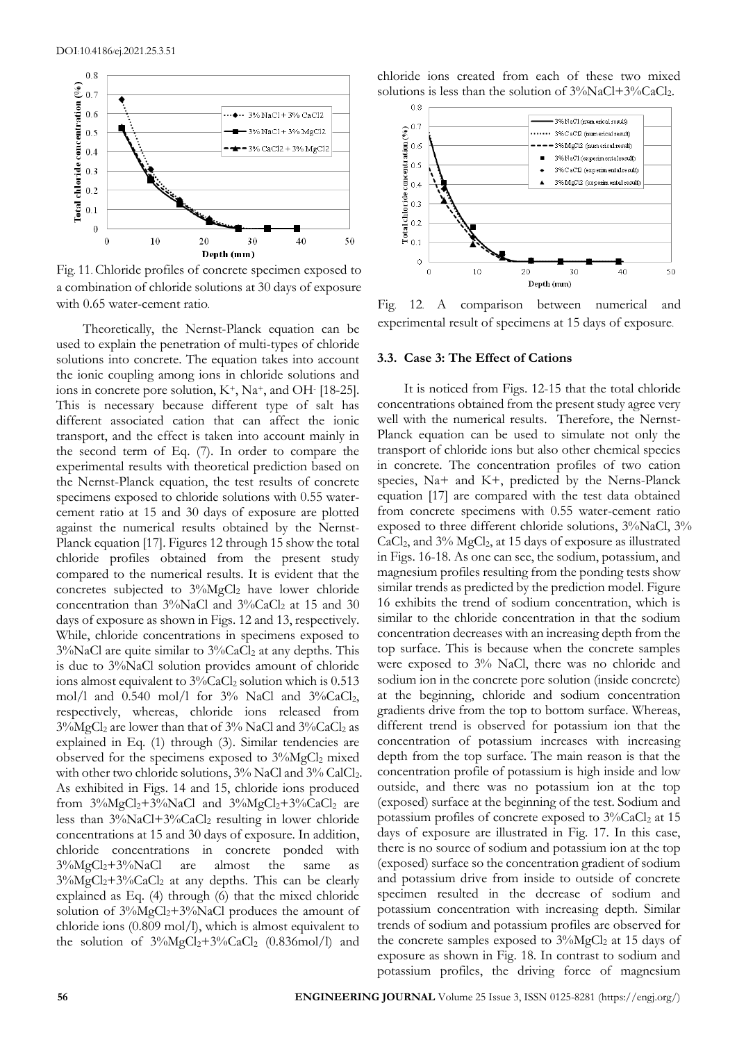

Fig. 11. Chloride profiles of concrete specimen exposed to a combination of chloride solutions at 30 days of exposure with 0.65 water-cement ratio. Fig. 12. A comparison between numerical and

Theoretically, the Nernst-Planck equation can be used to explain the penetration of multi-types of chloride solutions into concrete. The equation takes into account the ionic coupling among ions in chloride solutions and ions in concrete pore solution,  $K^+$ , Na<sup>+</sup>, and OH $\cdot$  [18-25]. This is necessary because different type of salt has different associated cation that can affect the ionic transport, and the effect is taken into account mainly in the second term of Eq. (7). In order to compare the experimental results with theoretical prediction based on the Nernst-Planck equation, the test results of concrete specimens exposed to chloride solutions with 0.55 watercement ratio at 15 and 30 days of exposure are plotted against the numerical results obtained by the Nernst-Planck equation [17]. Figures 12 through 15 show the total chloride profiles obtained from the present study compared to the numerical results. It is evident that the concretes subjected to  $3\%$ MgCl<sub>2</sub> have lower chloride concentration than  $3\%$ NaCl and  $3\%$ CaCl<sub>2</sub> at 15 and 30 days of exposure as shown in Figs. 12 and 13, respectively. While, chloride concentrations in specimens exposed to  $3\%$ NaCl are quite similar to  $3\%$ CaCl<sub>2</sub> at any depths. This is due to 3%NaCl solution provides amount of chloride ions almost equivalent to  $3\%$ CaCl<sub>2</sub> solution which is 0.513 mol/l and  $0.540$  mol/l for  $3\%$  NaCl and  $3\%$ CaCl<sub>2</sub>, respectively, whereas, chloride ions released from  $3\%$ MgCl<sub>2</sub> are lower than that of  $3\%$  NaCl and  $3\%$ CaCl<sub>2</sub> as explained in Eq. (1) through (3). Similar tendencies are observed for the specimens exposed to  $3\%$ MgCl<sub>2</sub> mixed with other two chloride solutions, 3% NaCl and 3% CalCl<sub>2</sub>. As exhibited in Figs. 14 and 15, chloride ions produced from  $3\%MgCl_2+3\%NaCl$  and  $3\%MgCl_2+3\%CaCl_2$  are less than  $3\%$ NaCl+3%CaCl<sub>2</sub> resulting in lower chloride concentrations at 15 and 30 days of exposure. In addition, chloride concentrations in concrete ponded with  $3\%MgCl<sub>2</sub>+3\%NaCl$  are almost the same as  $3\%MgCl<sub>2</sub>+3\%CaCl<sub>2</sub>$  at any depths. This can be clearly explained as Eq. (4) through (6) that the mixed chloride solution of  $3\%MgCl<sub>2</sub>+3\%NaCl$  produces the amount of chloride ions (0.809 mol/l), which is almost equivalent to the solution of  $3\%MgCl_2+3\%CaCl_2$  (0.836mol/l) and

chloride ions created from each of these two mixed solutions is less than the solution of  $3\%$ NaCl+3%CaCl<sub>2</sub>.



experimental result of specimens at 15 days of exposure.

#### **3.3. Case 3: The Effect of Cations**

It is noticed from Figs. 12-15 that the total chloride concentrations obtained from the present study agree very well with the numerical results. Therefore, the Nernst-Planck equation can be used to simulate not only the transport of chloride ions but also other chemical species in concrete. The concentration profiles of two cation species, Na+ and K+, predicted by the Nerns-Planck equation [17] are compared with the test data obtained from concrete specimens with 0.55 water-cement ratio exposed to three different chloride solutions,  $3\%$ NaCl,  $3\%$ CaCl<sub>2</sub>, and 3% MgCl<sub>2</sub>, at 15 days of exposure as illustrated in Figs. 16-18. As one can see, the sodium, potassium, and magnesium profiles resulting from the ponding tests show similar trends as predicted by the prediction model. Figure 16 exhibits the trend of sodium concentration, which is similar to the chloride concentration in that the sodium concentration decreases with an increasing depth from the top surface. This is because when the concrete samples were exposed to 3% NaCl, there was no chloride and sodium ion in the concrete pore solution (inside concrete) at the beginning, chloride and sodium concentration gradients drive from the top to bottom surface. Whereas, different trend is observed for potassium ion that the concentration of potassium increases with increasing depth from the top surface. The main reason is that the concentration profile of potassium is high inside and low outside, and there was no potassium ion at the top (exposed) surface at the beginning of the test. Sodium and potassium profiles of concrete exposed to  $3\%$ CaCl<sub>2</sub> at 15 days of exposure are illustrated in Fig. 17. In this case, there is no source of sodium and potassium ion at the top (exposed) surface so the concentration gradient of sodium and potassium drive from inside to outside of concrete specimen resulted in the decrease of sodium and potassium concentration with increasing depth. Similar trends of sodium and potassium profiles are observed for the concrete samples exposed to  $3\%$ MgCl<sub>2</sub> at 15 days of exposure as shown in Fig. 18. In contrast to sodium and potassium profiles, the driving force of magnesium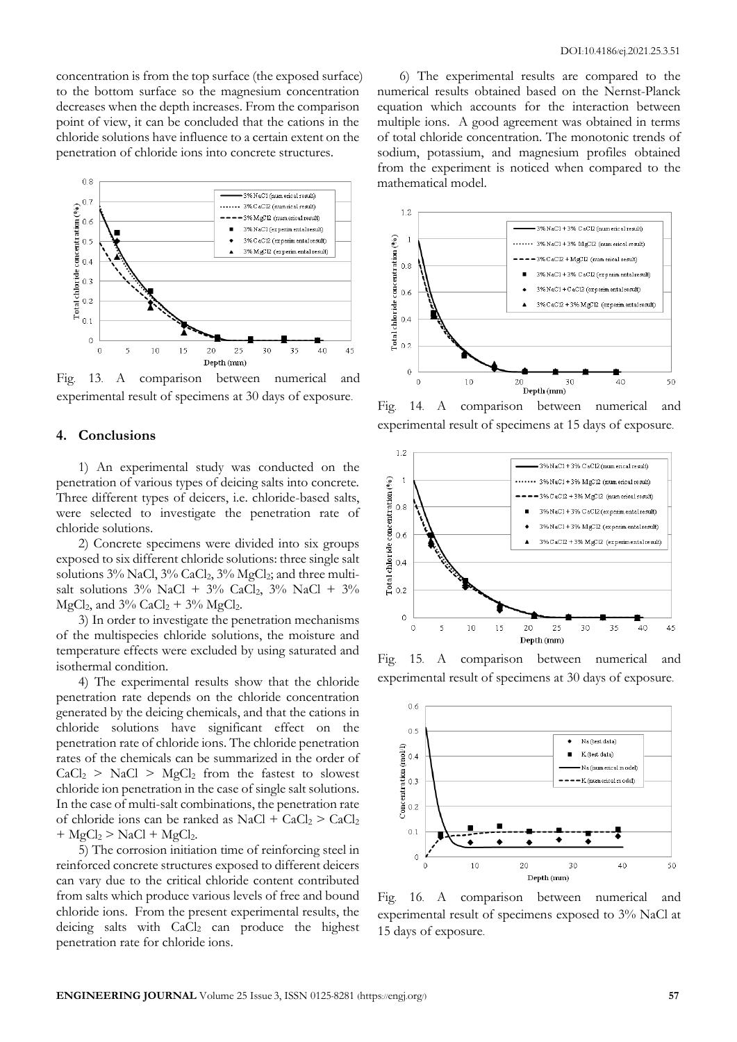concentration is from the top surface (the exposed surface) to the bottom surface so the magnesium concentration decreases when the depth increases. From the comparison point of view, it can be concluded that the cations in the chloride solutions have influence to a certain extent on the penetration of chloride ions into concrete structures.



Fig. 13. A comparison between numerical and experimental result of specimens at 30 days of exposure.

## **4. Conclusions**

1) An experimental study was conducted on the penetration of various types of deicing salts into concrete. Three different types of deicers, i.e. chloride-based salts, were selected to investigate the penetration rate of chloride solutions.

2) Concrete specimens were divided into six groups exposed to six different chloride solutions: three single salt solutions 3% NaCl, 3% CaCl<sub>2</sub>, 3% MgCl<sub>2</sub>; and three multisalt solutions  $3\%$  NaCl +  $3\%$  CaCl<sub>2</sub>,  $3\%$  NaCl +  $3\%$ MgCl<sub>2</sub>, and  $3\%$  CaCl<sub>2</sub> +  $3\%$  MgCl<sub>2</sub>.

3) In order to investigate the penetration mechanisms of the multispecies chloride solutions, the moisture and temperature effects were excluded by using saturated and isothermal condition.

4) The experimental results show that the chloride penetration rate depends on the chloride concentration generated by the deicing chemicals, and that the cations in chloride solutions have significant effect on the penetration rate of chloride ions. The chloride penetration rates of the chemicals can be summarized in the order of  $CaCl<sub>2</sub> > NaCl > MgCl<sub>2</sub>$  from the fastest to slowest chloride ion penetration in the case of single salt solutions. In the case of multi-salt combinations, the penetration rate of chloride ions can be ranked as  $NaCl + CaCl<sub>2</sub> > CaCl<sub>2</sub>$  $+$  MgCl<sub>2</sub>  $>$  NaCl  $+$  MgCl<sub>2</sub>.

5) The corrosion initiation time of reinforcing steel in reinforced concrete structures exposed to different deicers can vary due to the critical chloride content contributed from salts which produce various levels of free and bound chloride ions. From the present experimental results, the deicing salts with  $CaCl<sub>2</sub>$  can produce the highest penetration rate for chloride ions.

6) The experimental results are compared to the numerical results obtained based on the Nernst-Planck equation which accounts for the interaction between multiple ions. A good agreement was obtained in terms of total chloride concentration. The monotonic trends of sodium, potassium, and magnesium profiles obtained from the experiment is noticed when compared to the mathematical model.



Fig. 14. A comparison between numerical and experimental result of specimens at 15 days of exposure.



Fig. 15. A comparison between numerical and experimental result of specimens at 30 days of exposure.



Fig. 16. A comparison between numerical and experimental result of specimens exposed to 3% NaCl at 15 days of exposure.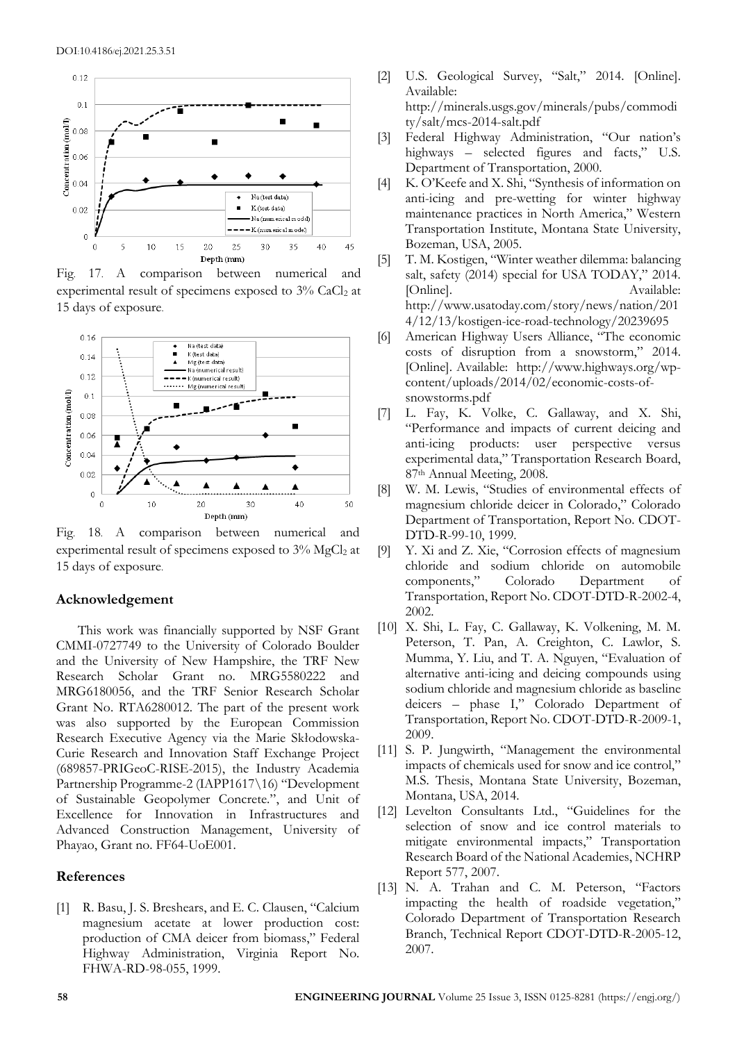

Fig. 17. A comparison between numerical and experimental result of specimens exposed to  $3\%$  CaCl<sub>2</sub> at 15 days of exposure.



Fig. 18. A comparison between numerical and experimental result of specimens exposed to 3% MgCl2 at 15 days of exposure.

## **Acknowledgement**

This work was financially supported by NSF Grant CMMI-0727749 to the University of Colorado Boulder and the University of New Hampshire, the TRF New Research Scholar Grant no. MRG5580222 and MRG6180056, and the TRF Senior Research Scholar Grant No. RTA6280012. The part of the present work was also supported by the European Commission Research Executive Agency via the Marie Skłodowska-Curie Research and Innovation Staff Exchange Project (689857-PRIGeoC-RISE-2015), the Industry Academia Partnership Programme-2 (IAPP1617\16) "Development of Sustainable Geopolymer Concrete.", and Unit of Excellence for Innovation in Infrastructures and Advanced Construction Management, University of Phayao, Grant no. FF64-UoE001.

#### **References**

[1] R. Basu, J. S. Breshears, and E. C. Clausen, "Calcium magnesium acetate at lower production cost: production of CMA deicer from biomass," Federal Highway Administration, Virginia Report No. FHWA-RD-98-055, 1999.

- [2] U.S. Geological Survey, "Salt," 2014. [Online]. Available: [http://minerals.usgs.gov/minerals/pubs/commodi](http://minerals.usgs.gov/minerals/pubs/commodity/salt/mcs-2014-salt.pdf) [ty/salt/mcs-2014-salt.pdf](http://minerals.usgs.gov/minerals/pubs/commodity/salt/mcs-2014-salt.pdf)
- [3] Federal Highway Administration, "Our nation's highways – selected figures and facts," U.S. Department of Transportation, 2000.
- [4] K. O'Keefe and X. Shi, "Synthesis of information on anti-icing and pre-wetting for winter highway maintenance practices in North America," Western Transportation Institute, Montana State University, Bozeman, USA, 2005.
- [5] T. M. Kostigen, "Winter weather dilemma: balancing salt, safety (2014) special for USA TODAY," 2014. [Online]. Available: http://www.usatoday.com/story/news/nation/201 4/12/13/kostigen-ice-road-technology/20239695
- [6] American Highway Users Alliance, "The economic costs of disruption from a snowstorm," 2014. [Online]. Available: [http://www.highways.org/wp](http://www.highways.org/wp-content/uploads/2014/02/economic-costs-of-snowstorms.pdf)[content/uploads/2014/02/economic-costs-of](http://www.highways.org/wp-content/uploads/2014/02/economic-costs-of-snowstorms.pdf)[snowstorms.pdf](http://www.highways.org/wp-content/uploads/2014/02/economic-costs-of-snowstorms.pdf)
- [7] L. Fay, K. Volke, C. Gallaway, and X. Shi, "Performance and impacts of current deicing and anti-icing products: user perspective versus experimental data," Transportation Research Board, 87th Annual Meeting, 2008.
- [8] W. M. Lewis, "Studies of environmental effects of magnesium chloride deicer in Colorado," Colorado Department of Transportation, Report No. CDOT-DTD-R-99-10, 1999.
- [9] Y. Xi and Z. Xie, "Corrosion effects of magnesium chloride and sodium chloride on automobile components," Colorado Department of Transportation, Report No. CDOT-DTD-R-2002-4, 2002.
- [10] X. Shi, L. Fay, C. Gallaway, K. Volkening, M. M. Peterson, T. Pan, A. Creighton, C. Lawlor, S. Mumma, Y. Liu, and T. A. Nguyen, "Evaluation of alternative anti-icing and deicing compounds using sodium chloride and magnesium chloride as baseline deicers – phase I," Colorado Department of Transportation, Report No. CDOT-DTD-R-2009-1, 2009.
- [11] S. P. Jungwirth, "Management the environmental impacts of chemicals used for snow and ice control," M.S. Thesis, Montana State University, Bozeman, Montana, USA, 2014.
- [12] Levelton Consultants Ltd., "Guidelines for the selection of snow and ice control materials to mitigate environmental impacts," Transportation Research Board of the National Academies, NCHRP Report 577, 2007.
- [13] N. A. Trahan and C. M. Peterson, "Factors impacting the health of roadside vegetation," Colorado Department of Transportation Research Branch, Technical Report CDOT-DTD-R-2005-12, 2007.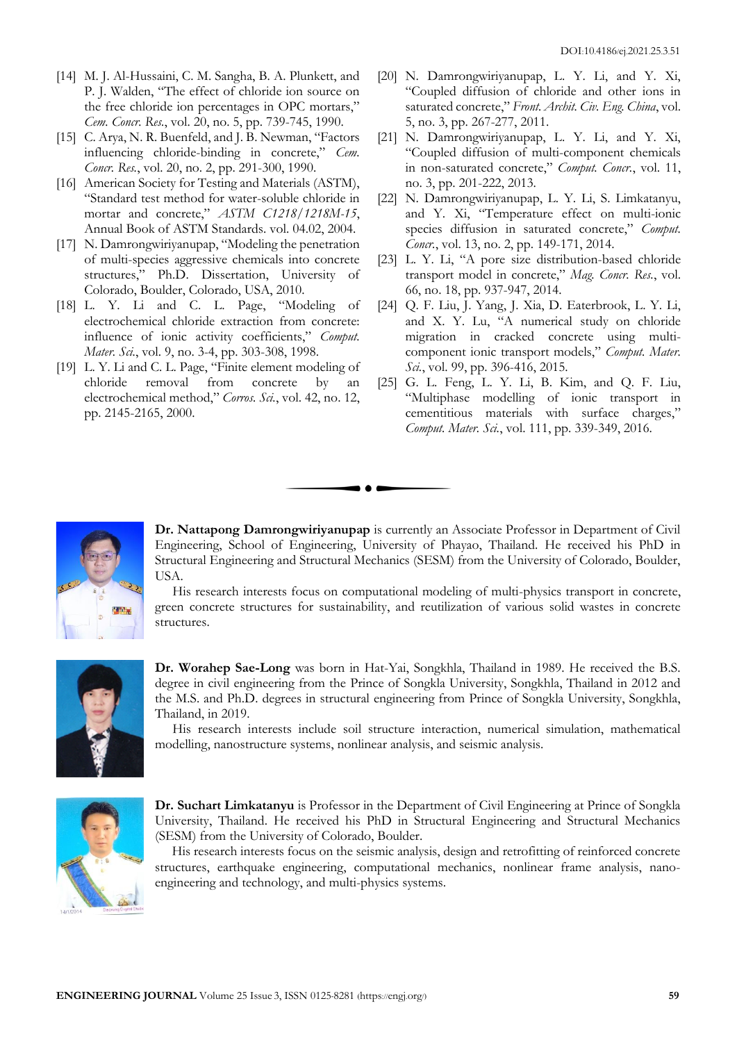- [14] M. J. Al-Hussaini, C. M. Sangha, B. A. Plunkett, and P. J. Walden, "The effect of chloride ion source on the free chloride ion percentages in OPC mortars," *Cem. Concr. Res.*, vol. 20, no. 5, pp. 739-745, 1990.
- [15] C. Arya, N. R. Buenfeld, and J. B. Newman, "Factors" influencing chloride-binding in concrete," *Cem. Concr. Res.*, vol. 20, no. 2, pp. 291-300, 1990.
- [16] American Society for Testing and Materials (ASTM), "Standard test method for water-soluble chloride in mortar and concrete," *ASTM C1218/1218M-15*, Annual Book of ASTM Standards. vol. 04.02, 2004.
- [17] N. Damrongwiriyanupap, "Modeling the penetration of multi-species aggressive chemicals into concrete structures," Ph.D. Dissertation, University of Colorado, Boulder, Colorado, USA, 2010.
- [18] L. Y. Li and C. L. Page, "Modeling of electrochemical chloride extraction from concrete: influence of ionic activity coefficients," *Comput. Mater. Sci.*, vol. 9, no. 3-4, pp. 303-308, 1998.
- [19] L. Y. Li and C. L. Page, "Finite element modeling of chloride removal from concrete by an electrochemical method," *Corros. Sci.*, vol. 42, no. 12, pp. 2145-2165, 2000.
- [20] N. Damrongwiriyanupap, L. Y. Li, and Y. Xi, "Coupled diffusion of chloride and other ions in saturated concrete," *Front. Archit. Civ. Eng. China*, vol. 5, no. 3, pp. 267-277, 2011.
- [21] N. Damrongwiriyanupap, L. Y. Li, and Y. Xi, "Coupled diffusion of multi-component chemicals in non-saturated concrete," *Comput. Concr.*, vol. 11, no. 3, pp. 201-222, 2013.
- [22] N. Damrongwiriyanupap, L. Y. Li, S. Limkatanyu, and Y. Xi, "Temperature effect on multi-ionic species diffusion in saturated concrete," *Comput. Concr.*, vol. 13, no. 2, pp. 149-171, 2014.
- [23] L. Y. Li, "A pore size distribution-based chloride transport model in concrete," *Mag. Concr. Res.*, vol. 66, no. 18, pp. 937-947, 2014.
- [24] Q. F. Liu, J. Yang, J. Xia, D. Eaterbrook, L. Y. Li, and X. Y. Lu, "A numerical study on chloride migration in cracked concrete using multicomponent ionic transport models," *Comput. Mater. Sci.*, vol. 99, pp. 396-416, 2015.
- [25] G. L. Feng, L. Y. Li, B. Kim, and Q. F. Liu, "Multiphase modelling of ionic transport in cementitious materials with surface charges," *Comput. Mater. Sci.*, vol. 111, pp. 339-349, 2016.



**Dr. Nattapong Damrongwiriyanupap** is currently an Associate Professor in Department of Civil Engineering, School of Engineering, University of Phayao, Thailand. He received his PhD in Structural Engineering and Structural Mechanics (SESM) from the University of Colorado, Boulder, USA.

His research interests focus on computational modeling of multi-physics transport in concrete, green concrete structures for sustainability, and reutilization of various solid wastes in concrete structures.



**Dr. Worahep Sae-Long** was born in Hat-Yai, Songkhla, Thailand in 1989. He received the B.S. degree in civil engineering from the Prince of Songkla University, Songkhla, Thailand in 2012 and the M.S. and Ph.D. degrees in structural engineering from Prince of Songkla University, Songkhla, Thailand, in 2019.

His research interests include soil structure interaction, numerical simulation, mathematical modelling, nanostructure systems, nonlinear analysis, and seismic analysis.



**Dr. Suchart Limkatanyu** is Professor in the Department of Civil Engineering at Prince of Songkla University, Thailand. He received his PhD in Structural Engineering and Structural Mechanics (SESM) from the University of Colorado, Boulder.

 His research interests focus on the seismic analysis, design and retrofitting of reinforced concrete structures, earthquake engineering, computational mechanics, nonlinear frame analysis, nanoengineering and technology, and multi-physics systems.